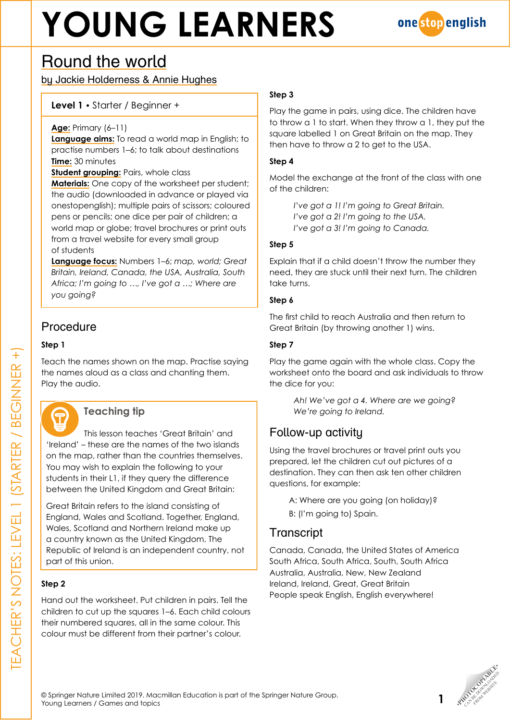# **YOUNG LEARNERS**



## Round the world

by Jackie Holderness & Annie Hughes

#### **Level 1 •** Starter / Beginner +

#### **Age:** Primary (6–11)

**Language aims:** To read a world map in English; to practise numbers 1–6; to talk about destinations **Time:** 30 minutes

**Student grouping: Pairs, whole class** 

**Materials:** One copy of the worksheet per student; the audio (downloaded in advance or played via onestopenglish); multiple pairs of scissors; coloured pens or pencils; one dice per pair of children; a world map or globe; travel brochures or print outs from a travel website for every small group of students

**Language focus:** Numbers 1–6; *map, world; Great Britain, Ireland, Canada, the USA, Australia, South Africa; I'm going to …, I've got a …; Where are you going?*

## Procedure

#### **Step 1**

Teach the names shown on the map. Practise saying the names aloud as a class and chanting them. Play the audio.



#### **Teaching tip**

This lesson teaches 'Great Britain' and 'Ireland' – these are the names of the two islands on the map, rather than the countries themselves. You may wish to explain the following to your students in their L1, if they query the difference between the United Kingdom and Great Britain:

Great Britain refers to the island consisting of England, Wales and Scotland. Together, England, Wales, Scotland and Northern Ireland make up a country known as the United Kingdom. The Republic of Ireland is an independent country, not part of this union.

#### **Step 2**

Hand out the worksheet. Put children in pairs. Tell the children to cut up the squares 1–6. Each child colours their numbered squares, all in the same colour. This colour must be different from their partner's colour.

#### **Step 3**

Play the game in pairs, using dice. The children have to throw a 1 to start. When they throw a 1, they put the square labelled 1 on Great Britain on the map. They then have to throw a 2 to get to the USA.

#### **Step 4**

Model the exchange at the front of the class with one of the children:

> *I've got a 1! I'm going to Great Britain. I've got a 2! I'm going to the USA. I've got a 3! I'm going to Canada.*

#### **Step 5**

Explain that if a child doesn't throw the number they need, they are stuck until their next turn. The children take turns.

#### **Step 6**

The first child to reach Australia and then return to Great Britain (by throwing another 1) wins.

#### **Step 7**

Play the game again with the whole class. Copy the worksheet onto the board and ask individuals to throw the dice for you:

> *Ah! We've got a 4. Where are we going? We're going to Ireland.*

### Follow-up activity

Using the travel brochures or travel print outs you prepared, let the children cut out pictures of a destination. They can then ask ten other children questions, for example:

A: Where are you going (on holiday)? B: (I'm going to) Spain.

### **Transcript**

Canada, Canada, the United States of America South Africa, South Africa, South, South Africa Australia, Australia, New, New Zealand Ireland, Ireland, Great, Great Britain People speak English, English everywhere!



TEACHER'S NOTES: LEVEL 1 (STARTER / BEGINNER +)

CHER'S NOTES: LEVEL 1

 $1$  (STARTER / BEGINNER +)